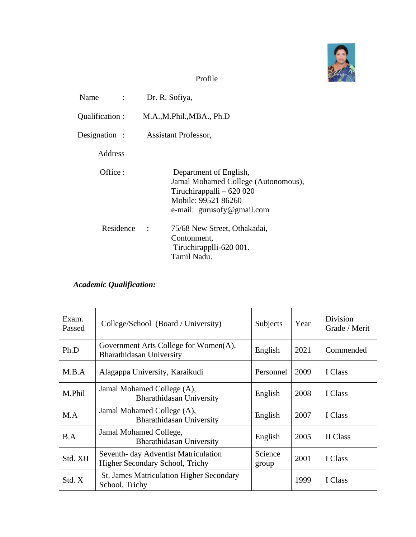

## Profile

| Name<br>$\mathcal{L} = \mathcal{L}$ | Dr. R. Sofiya,                                                                                                                                    |
|-------------------------------------|---------------------------------------------------------------------------------------------------------------------------------------------------|
| Qualification:                      | M.A., M.Phil., MBA., Ph.D                                                                                                                         |
| Designation :                       | <b>Assistant Professor,</b>                                                                                                                       |
| Address                             |                                                                                                                                                   |
| Office :                            | Department of English,<br>Jamal Mohamed College (Autonomous),<br>Tiruchirappalli $-620020$<br>Mobile: 99521 86260<br>e-mail: $gurusofy@gmail.com$ |
| Residence                           | 75/68 New Street, Othakadai,<br>$\ddot{\phantom{0}}$<br>Contonment,<br>Tiruchirapplli-620 001.<br>Tamil Nadu.                                     |

# *Academic Qualification:*

| Exam.<br>Passed | College/School (Board / University)                                     | Subjects         | Year | Division<br>Grade / Merit |
|-----------------|-------------------------------------------------------------------------|------------------|------|---------------------------|
| Ph.D            | Government Arts College for Women(A),<br>Bharathidasan University       | English          | 2021 | Commended                 |
| M.B.A           | Alagappa University, Karaikudi                                          | Personnel        | 2009 | I Class                   |
| M.Phil          | Jamal Mohamed College (A),<br><b>Bharathidasan University</b>           | English          | 2008 | I Class                   |
| M.A             | Jamal Mohamed College (A),<br><b>Bharathidasan University</b>           | English          | 2007 | I Class                   |
| B.A             | Jamal Mohamed College,<br>Bharathidasan University                      | English          | 2005 | II Class                  |
| Std. XII        | Seventh- day Adventist Matriculation<br>Higher Secondary School, Trichy | Science<br>group | 2001 | I Class                   |
| Std. X          | <b>St. James Matriculation Higher Secondary</b><br>School, Trichy       |                  | 1999 | I Class                   |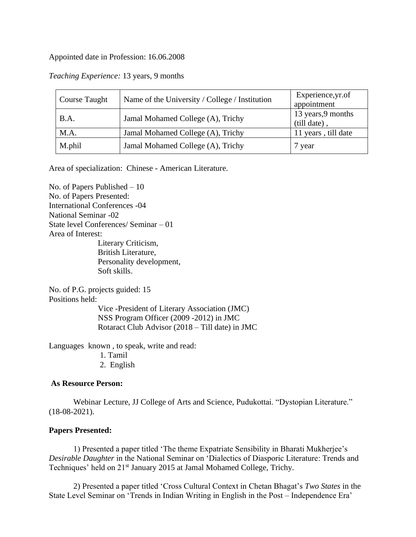#### Appointed date in Profession: 16.06.2008

| <b>Course Taught</b> | Name of the University / College / Institution | Experience, yr.of<br>appointment   |  |
|----------------------|------------------------------------------------|------------------------------------|--|
| B.A.                 | Jamal Mohamed College (A), Trichy              | 13 years, 9 months<br>(till date). |  |
| M.A.                 | Jamal Mohamed College (A), Trichy              | 11 years, till date                |  |
| M.phil               | Jamal Mohamed College (A), Trichy              | 7 year                             |  |

## *Teaching Experience:* 13 years, 9 months

Area of specialization: Chinese - American Literature.

No. of Papers Published – 10 No. of Papers Presented: International Conferences -04 National Seminar -02 State level Conferences/ Seminar – 01 Area of Interest: Literary Criticism, British Literature, Personality development, Soft skills.

No. of P.G. projects guided: 15 Positions held:

> Vice -President of Literary Association (JMC) NSS Program Officer (2009 -2012) in JMC Rotaract Club Advisor (2018 – Till date) in JMC

Languages known , to speak, write and read:

1. Tamil

2. English

#### **As Resource Person:**

Webinar Lecture, JJ College of Arts and Science, Pudukottai. "Dystopian Literature." (18-08-2021).

### **Papers Presented:**

1) Presented a paper titled 'The theme Expatriate Sensibility in Bharati Mukherjee's *Desirable Daughter* in the National Seminar on 'Dialectics of Diasporic Literature: Trends and Techniques' held on 21<sup>st</sup> January 2015 at Jamal Mohamed College, Trichy.

2) Presented a paper titled 'Cross Cultural Context in Chetan Bhagat's *Two States* in the State Level Seminar on 'Trends in Indian Writing in English in the Post – Independence Era'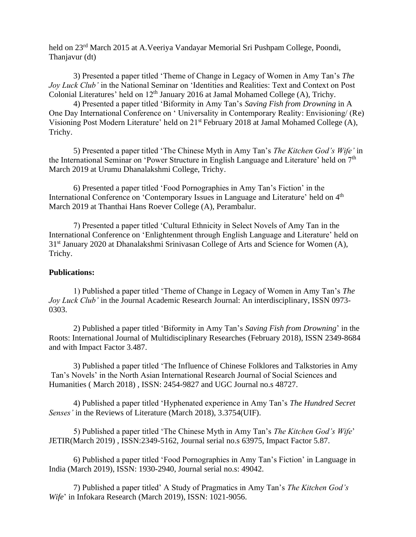held on 23rd March 2015 at A.Veeriya Vandayar Memorial Sri Pushpam College, Poondi, Thanjavur (dt)

3) Presented a paper titled 'Theme of Change in Legacy of Women in Amy Tan's *The Joy Luck Club'* in the National Seminar on 'Identities and Realities: Text and Context on Post Colonial Literatures' held on  $12<sup>th</sup>$  January 2016 at Jamal Mohamed College (A), Trichy.

4) Presented a paper titled 'Biformity in Amy Tan's *Saving Fish from Drowning* in A One Day International Conference on ' Universality in Contemporary Reality: Envisioning/ (Re) Visioning Post Modern Literature' held on 21<sup>st</sup> February 2018 at Jamal Mohamed College (A), Trichy.

5) Presented a paper titled 'The Chinese Myth in Amy Tan's *The Kitchen God's Wife'* in the International Seminar on 'Power Structure in English Language and Literature' held on 7<sup>th</sup> March 2019 at Urumu Dhanalakshmi College, Trichy.

6) Presented a paper titled 'Food Pornographies in Amy Tan's Fiction' in the International Conference on 'Contemporary Issues in Language and Literature' held on 4<sup>th</sup> March 2019 at Thanthai Hans Roever College (A), Perambalur.

7) Presented a paper titled 'Cultural Ethnicity in Select Novels of Amy Tan in the International Conference on 'Enlightenment through English Language and Literature' held on 31<sup>st</sup> January 2020 at Dhanalakshmi Srinivasan College of Arts and Science for Women (A), Trichy.

## **Publications:**

1) Published a paper titled 'Theme of Change in Legacy of Women in Amy Tan's *The Joy Luck Club'* in the Journal Academic Research Journal: An interdisciplinary, ISSN 0973- 0303.

2) Published a paper titled 'Biformity in Amy Tan's *Saving Fish from Drowning*' in the Roots: International Journal of Multidisciplinary Researches (February 2018), ISSN 2349-8684 and with Impact Factor 3.487.

3) Published a paper titled 'The Influence of Chinese Folklores and Talkstories in Amy Tan's Novels' in the North Asian International Research Journal of Social Sciences and Humanities ( March 2018) , ISSN: 2454-9827 and UGC Journal no.s 48727.

4) Published a paper titled 'Hyphenated experience in Amy Tan's *The Hundred Secret Senses'* in the Reviews of Literature (March 2018), 3.3754(UIF).

5) Published a paper titled 'The Chinese Myth in Amy Tan's *The Kitchen God's Wife*' JETIR(March 2019) , ISSN:2349-5162, Journal serial no.s 63975, Impact Factor 5.87.

6) Published a paper titled 'Food Pornographies in Amy Tan's Fiction' in Language in India (March 2019), ISSN: 1930-2940, Journal serial no.s: 49042.

7) Published a paper titled' A Study of Pragmatics in Amy Tan's *The Kitchen God's Wife*' in Infokara Research (March 2019), ISSN: 1021-9056.